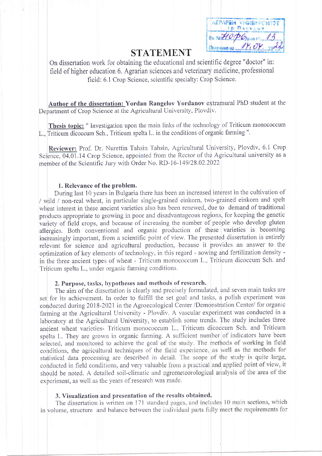| ATPAPEM VHWBERCWTET       |
|---------------------------|
| <b><i>SE ПАСВАНЕ</i></b>  |
| Bx Net 10 percent 13      |
| Получено на $N_1 OY_{12}$ |

# **STATEMENT**

On dissertation work for obtaining the educational and scientific degree "doctor" in: field of higher education 6. Agrarian sciences and veterinary medicine, professional field: 6.1 Crop Science, scientific specialty: Crop Science.

Author of the dissertation: Yordan Rangelov Yordanov extramural PhD student at the Department of Crop Science at the Agricultural University, Plovdiv.

Thesis topic: " Investigation upon the main links of the technology of Triticum monococcum L., Triticum dicoccum Sch., Triticum spelta L. in the conditions of organic farming ".

Reviewer: Prof. Dr. Nurettin Tahsin Tahsin, Agricultural University, Plovdiv, 6.1 Crop Science, 04.01.14 Crop Science, appointed from the Rector of the Agricultural university as a member of the Scientific Jury with Order No. RD-16-149/28.02.2022

# 1. Relevance of the problem.

During last 10 years in Bulgaria there has been an increased interest in the cultivation of / wild / non-real wheat, in particular single-grained einkorn, two-grained einkorn and spelt wheat interest in these ancient varieties also has been renewed, due to demand of traditional products appropriate to growing in poor and disadvantageous regions, for keeping the genetic variety of field crops, and because of increasing the number of people who develop gluten allergies. Both conventional and organic production of these varieties is becoming increasingly important, from a scientific point of view. The presented dissertation is entirely relevant for science and agricultural production, because it provides an answer to the optimization of key elements of technology, in this regard - sowing and fertilization density in the three ancient types of wheat - Triticum monococcum L., Triticum dicoccum Sch. and Triticum spelta L., under organic farming conditions.

# 2. Purpose, tasks, hypotheses and methods of research.

The aim of the dissertation is clearly and precisely formulated, and seven main tasks are set for its achievement. In order to fulfill the set goal and tasks, a polish experiment was conducted during 2018-2021 in the Agroecological Center /Demonstration Center/ for organic farming at the Agricultural University - Plovdiv. A vascular experiment was conducted in a laboratory at the Agricultural University, to establish some trends. The study includes three ancient wheat varieties- Triticum monococcum L., Triticum dicoccum Sch. and Triticum spelta L. They are grown in organic farming. A sufficient number of indicators have been selected, and monitored to achieve the goal of the study. The methods of working in field conditions, the agricultural techniques of the field experience, as well as the methods for statistical data processing are described in detail. The scope of the study is quite large, conducted in field conditions, and very valuable from a practical and applied point of view, it should be noted. A detailed soil-climatic and agrometeorological analysis of the area of the experiment, as well as the years of research was made.

# 3. Visualization and presentation of the results obtained.

The dissertation is written on 171 standard pages, and includes 10 main sections, which in volume, structure and balance between the individual parts fully meet the requirements for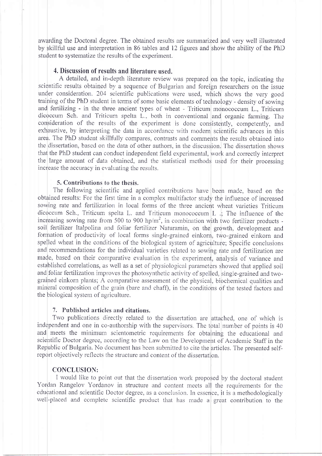awarding the Doctoral degree. The obtained results are summarized and very well illustrated by skillful use and interpretation in 86 tables and 12 figures and show the ability of the PhD student to systematize the results of the experiment.

# 4. Discussion of results and literature used.

A detailed, and in-depth literature review was prepared on the topic, indicating the scientific results obtained by a sequence of Bulgarian and foreign researchers on the issue under consideration. 204 scientific publications were used, which shows the very good training of the PhD student in terms of some basic elements of technology - density of sowing and fertilizing - in the three ancient types of wheat - Triticum monococcum L., Triticum dicoccum Sch. and Triticum spelta L., both in conventional and organic farming. The consideration of the results of the experiment is done consistently, competently, and exhaustive, by interpreting the data in accordance with modern scientific advances in this area. The PhD student skillfully compares, contrasts and comments the results obtained into the dissertation, based on the data of other authors, in the discussion. The dissertation shows that the PhD student can conduct independent field experimental, work and correctly interpret the large amount of data obtained, and the statistical methods used for their processing increase the accuracy in evaluating the results.

#### 5. Contributions to the thesis.

The following scientific and applied contributions have been made, based on the obtained results: For the first time in a complex multifactor study the influence of increased sowing rate and fertilization in local forms of the three ancient wheat varieties Triticum dicoccum Sch., Triticum spelta L. and Triticum monococcum  $\vert$  L.  $\vert$ . The influence of the increasing sowing rate from 500 to 900 hp/ $m<sup>2</sup>$ , in combination with two fertilizer products soil fertilizer Italpolina and foliar fertilizer Naturamin, on the growth, development and formation of productivity of local forms single-grained einkorn, two-grained einkorn and spelled wheat in the conditions of the biological system of agriculture; Specific conclusions and recommendations for the individual varieties related to sowing rate and fertilization are made, based on their comparative evaluation in the experiment, analysis of variance and established correlations, as well as a set of physiological parameters showed that applied soil and foliar fertilization improves the photosynthetic activity of spelled, single-grained and twograined einkorn plants; A comparative assessment of the physical, biochemical qualities and mineral composition of the grain (bare and chaff), in the conditions of the tested factors and the biological system of agriculture.

# 7. Published articles and citations.

Two publications directly related to the dissertation are attached, one of which is independent and one in co-authorship with the supervisors. The total number of points is 40 and meets the minimum scientometric requirements for obtaining the educational and scientific Doctor degree, according to the Law on the Development of Academic Staff in the Republic of Bulgaria. No document has been submitted to cite the articles. The presented selfreport objectively reflects the structure and content of the dissertation.

# **CONCLUSION:**

I would like to point out that the dissertation work proposed by the doctoral student Yordan Rangelov Yordanov in structure and content meets all the requirements for the educational and scientific Doctor degree, as a conclusion. In essence, it is a methodologically well-placed and complete scientific product that has made a great contribution to the